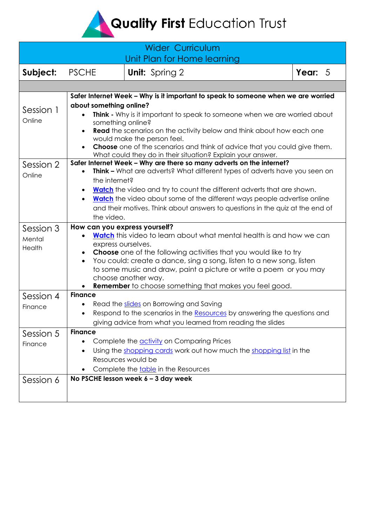Quality First Education Trust

<span id="page-0-0"></span>

| <b>Wider Curriculum</b><br>Unit Plan for Home learning |                                                                                                                                                                                                                                                                                                                                                                                                                                                                                                                                                                                                                                                                                                                                                                                                                                                                                                                                         |                       |           |  |
|--------------------------------------------------------|-----------------------------------------------------------------------------------------------------------------------------------------------------------------------------------------------------------------------------------------------------------------------------------------------------------------------------------------------------------------------------------------------------------------------------------------------------------------------------------------------------------------------------------------------------------------------------------------------------------------------------------------------------------------------------------------------------------------------------------------------------------------------------------------------------------------------------------------------------------------------------------------------------------------------------------------|-----------------------|-----------|--|
| Subject:                                               | <b>PSCHE</b>                                                                                                                                                                                                                                                                                                                                                                                                                                                                                                                                                                                                                                                                                                                                                                                                                                                                                                                            | <b>Unit:</b> Spring 2 | Year: $5$ |  |
|                                                        |                                                                                                                                                                                                                                                                                                                                                                                                                                                                                                                                                                                                                                                                                                                                                                                                                                                                                                                                         |                       |           |  |
| Session 1<br>Online<br>Session 2                       | Safer Internet Week - Why is it important to speak to someone when we are worried<br>about something online?<br>Think - Why is it important to speak to someone when we are worried about<br>something online?<br><b>Read</b> the scenarios on the activity below and think about how each one<br>would make the person feel.<br>Choose one of the scenarios and think of advice that you could give them.<br>What could they do in their situation? Explain your answer.<br>Safer Internet Week - Why are there so many adverts on the internet?<br><b>Think -</b> What are adverts? What different types of adverts have you seen on<br>the internet?<br><b>Watch</b> the video and try to count the different adverts that are shown.<br><b>Watch</b> the video about some of the different ways people advertise online<br>$\bullet$<br>and their motives. Think about answers to questions in the quiz at the end of<br>the video. |                       |           |  |
| Online                                                 |                                                                                                                                                                                                                                                                                                                                                                                                                                                                                                                                                                                                                                                                                                                                                                                                                                                                                                                                         |                       |           |  |
| Session 3<br>Mental<br>Health                          | How can you express yourself?<br><b>Watch</b> this video to learn about what mental health is and how we can<br>express ourselves.<br><b>Choose</b> one of the following activities that you would like to try<br>You could: create a dance, sing a song, listen to a new song, listen<br>to some music and draw, paint a picture or write a poem or you may<br>choose another way.<br><b>Remember</b> to choose something that makes you feel good.                                                                                                                                                                                                                                                                                                                                                                                                                                                                                    |                       |           |  |
| Session 4<br>Finance                                   | <b>Finance</b><br>Read the slides on Borrowing and Saving<br>Respond to the scenarios in the Resources by answering the questions and<br>giving advice from what you learned from reading the slides                                                                                                                                                                                                                                                                                                                                                                                                                                                                                                                                                                                                                                                                                                                                    |                       |           |  |
| Session 5<br>Finance<br>Session 6                      | <b>Finance</b><br>Complete the activity on Comparing Prices<br>$\bullet$<br>Using the shopping cards work out how much the shopping list in the<br>Resources would be<br>Complete the table in the Resources<br>No PSCHE lesson week 6 - 3 day week                                                                                                                                                                                                                                                                                                                                                                                                                                                                                                                                                                                                                                                                                     |                       |           |  |
|                                                        |                                                                                                                                                                                                                                                                                                                                                                                                                                                                                                                                                                                                                                                                                                                                                                                                                                                                                                                                         |                       |           |  |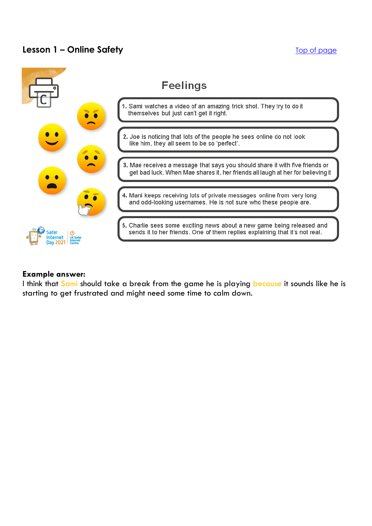# **Lesson 1 – Online Safety** The Contract of the Contract of the [Top of page](#page-0-0)



#### **Example answer:**

I think that Sami should take a break from the game he is playing because it sounds like he is starting to get frustrated and might need some time to calm down.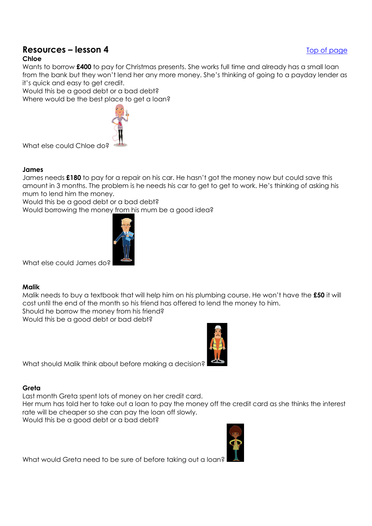# <span id="page-2-0"></span>**Resources – lesson 4** [Top of page](#page-0-0)

### **Chloe**

Wants to borrow **£400** to pay for Christmas presents. She works full time and already has a small loan from the bank but they won't lend her any more money. She's thinking of going to a payday lender as it's quick and easy to get credit.

Would this be a good debt or a bad debt? Where would be the best place to get a loan?

What else could Chloe do

#### **James**

James needs **£180** to pay for a repair on his car. He hasn't got the money now but could save this amount in 3 months. The problem is he needs his car to get to get to work. He's thinking of asking his mum to lend him the money.

Would this be a good debt or a bad debt?

Would borrowing the money from his mum be a good idea?



What else could James do?

#### **Malik**

Malik needs to buy a textbook that will help him on his plumbing course. He won't have the **£50** it will cost until the end of the month so his friend has offered to lend the money to him. Should he borrow the money from his friend?

Would this be a good debt or bad debt?

What should Malik think about before making a decision?

#### **Greta**

Last month Greta spent lots of money on her credit card.

Her mum has told her to take out a loan to pay the money off the credit card as she thinks the interest rate will be cheaper so she can pay the loan off slowly.

Would this be a good debt or a bad debt?



What would Greta need to be sure of before taking out a loan?